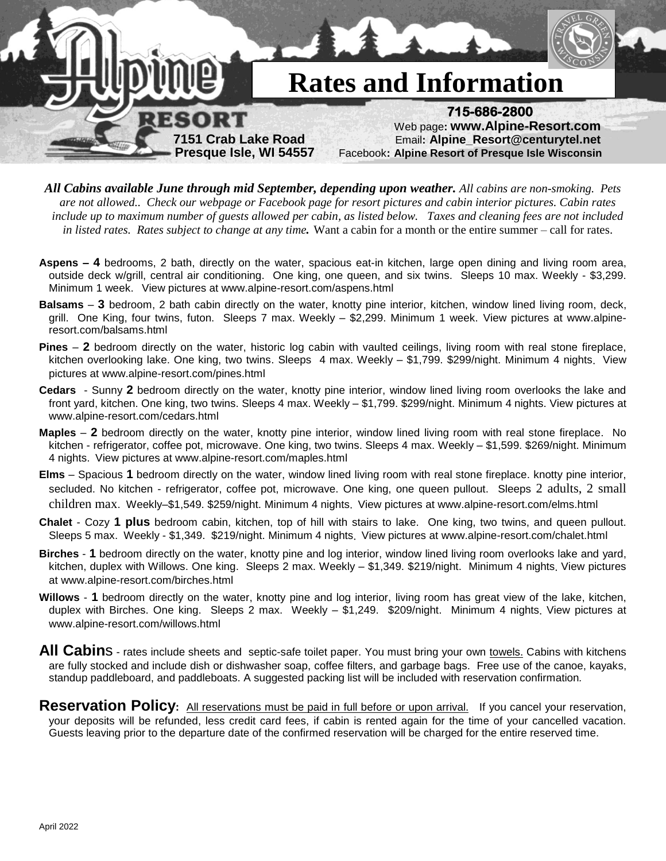

- *All Cabins available June through mid September, depending upon weather. All cabins are non-smoking. Pets are not allowed.. Check our webpage or Facebook page for resort pictures and cabin interior pictures. Cabin rates include up to maximum number of guests allowed per cabin, as listed below. Taxes and cleaning fees are not included in listed rates. Rates subject to change at any time.* Want a cabin for a month or the entire summer – call for rates.
- **Aspens – 4** bedrooms, 2 bath, directly on the water, spacious eat-in kitchen, large open dining and living room area, outside deck w/grill, central air conditioning. One king, one queen, and six twins. Sleeps 10 max. Weekly - \$3,299. Minimum 1 week. View pictures at www.alpine-resort.com/aspens.html
- **Balsams 3** bedroom, 2 bath cabin directly on the water, knotty pine interior, kitchen, window lined living room, deck, grill. One King, four twins, futon. Sleeps 7 max. Weekly – \$2,299. Minimum 1 week. View pictures at www.alpineresort.com/balsams.html
- **Pines 2** bedroom directly on the water, historic log cabin with vaulted ceilings, living room with real stone fireplace, kitchen overlooking lake. One king, two twins. Sleeps 4 max. Weekly – \$1,799. \$299/night. Minimum 4 nights. View pictures at www.alpine-resort.com/pines.html
- **Cedars**  Sunny **2** bedroom directly on the water, knotty pine interior, window lined living room overlooks the lake and front yard, kitchen. One king, two twins. Sleeps 4 max. Weekly – \$1,799. \$299/night. Minimum 4 nights. View pictures at www.alpine-resort.com/cedars.html
- **Maples 2** bedroom directly on the water, knotty pine interior, window lined living room with real stone fireplace. No kitchen - refrigerator, coffee pot, microwave. One king, two twins. Sleeps 4 max. Weekly – \$1,599. \$269/night. Minimum 4 nights. View pictures at www.alpine-resort.com/maples.html
- **Elms**  Spacious **1** bedroom directly on the water, window lined living room with real stone fireplace. knotty pine interior, secluded. No kitchen - refrigerator, coffee pot, microwave. One king, one queen pullout. Sleeps 2 adults, 2 small children max. Weekly–\$1,549. \$259/night. Minimum 4 nights. View pictures at www.alpine-resort.com/elms.html
- **Chalet** Cozy **1 plus** bedroom cabin, kitchen, top of hill with stairs to lake. One king, two twins, and queen pullout. Sleeps 5 max. Weekly - \$1,349. \$219/night. Minimum 4 nights. View pictures at www.alpine-resort.com/chalet.html
- **Birches 1** bedroom directly on the water, knotty pine and log interior, window lined living room overlooks lake and yard, kitchen, duplex with Willows. One king. Sleeps 2 max. Weekly - \$1,349. \$219/night. Minimum 4 nights. View pictures at www.alpine-resort.com/birches.html
- **Willows 1** bedroom directly on the water, knotty pine and log interior, living room has great view of the lake, kitchen, duplex with Birches. One king. Sleeps 2 max. Weekly - \$1,249. \$209/night. Minimum 4 nights. View pictures at www.alpine-resort.com/willows.html
- All Cabins rates include sheets and septic-safe toilet paper. You must bring your own towels. Cabins with kitchens are fully stocked and include dish or dishwasher soap, coffee filters, and garbage bags. Free use of the canoe, kayaks, standup paddleboard, and paddleboats. A suggested packing list will be included with reservation confirmation*.*
- **Reservation Policy**: All reservations must be paid in full before or upon arrival. If you cancel your reservation, your deposits will be refunded, less credit card fees, if cabin is rented again for the time of your cancelled vacation. Guests leaving prior to the departure date of the confirmed reservation will be charged for the entire reserved time.